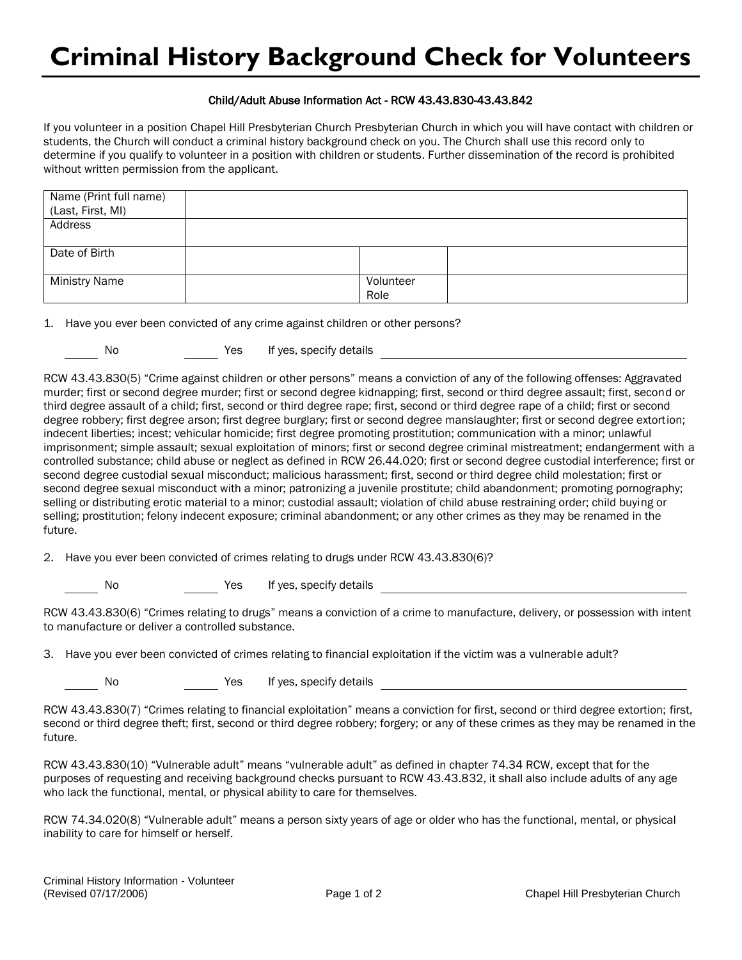## Child/Adult Abuse Information Act - RCW 43.43.830-43.43.842

If you volunteer in a position Chapel Hill Presbyterian Church Presbyterian Church in which you will have contact with children or students, the Church will conduct a criminal history background check on you. The Church shall use this record only to determine if you qualify to volunteer in a position with children or students. Further dissemination of the record is prohibited without written permission from the applicant.

| Name (Print full name) |           |  |
|------------------------|-----------|--|
| (Last, First, MI)      |           |  |
| Address                |           |  |
|                        |           |  |
| Date of Birth          |           |  |
|                        |           |  |
| <b>Ministry Name</b>   | Volunteer |  |
|                        | Role      |  |

1. Have you ever been convicted of any crime against children or other persons?

No Yes If yes, specify details

RCW 43.43.830(5) "Crime against children or other persons" means a conviction of any of the following offenses: Aggravated murder; first or second degree murder; first or second degree kidnapping; first, second or third degree assault; first, second or third degree assault of a child; first, second or third degree rape; first, second or third degree rape of a child; first or second degree robbery; first degree arson; first degree burglary; first or second degree manslaughter; first or second degree extortion; indecent liberties; incest; vehicular homicide; first degree promoting prostitution; communication with a minor; unlawful imprisonment; simple assault; sexual exploitation of minors; first or second degree criminal mistreatment; endangerment with a controlled substance; child abuse or neglect as defined in RCW 26.44.020; first or second degree custodial interference; first or second degree custodial sexual misconduct; malicious harassment; first, second or third degree child molestation; first or second degree sexual misconduct with a minor; patronizing a juvenile prostitute; child abandonment; promoting pornography; selling or distributing erotic material to a minor; custodial assault; violation of child abuse restraining order; child buying or selling; prostitution; felony indecent exposure; criminal abandonment; or any other crimes as they may be renamed in the future.

2. Have you ever been convicted of crimes relating to drugs under RCW 43.43.830(6)?

No Yes If yes, specify details

RCW 43.43.830(6) "Crimes relating to drugs" means a conviction of a crime to manufacture, delivery, or possession with intent to manufacture or deliver a controlled substance.

3. Have you ever been convicted of crimes relating to financial exploitation if the victim was a vulnerable adult?

No Yes If yes, specify details

RCW 43.43.830(7) "Crimes relating to financial exploitation" means a conviction for first, second or third degree extortion; first, second or third degree theft; first, second or third degree robbery; forgery; or any of these crimes as they may be renamed in the future.

RCW 43.43.830(10) "Vulnerable adult" means "vulnerable adult" as defined in chapter 74.34 RCW, except that for the purposes of requesting and receiving background checks pursuant to RCW 43.43.832, it shall also include adults of any age who lack the functional, mental, or physical ability to care for themselves.

RCW 74.34.020(8) "Vulnerable adult" means a person sixty years of age or older who has the functional, mental, or physical inability to care for himself or herself.